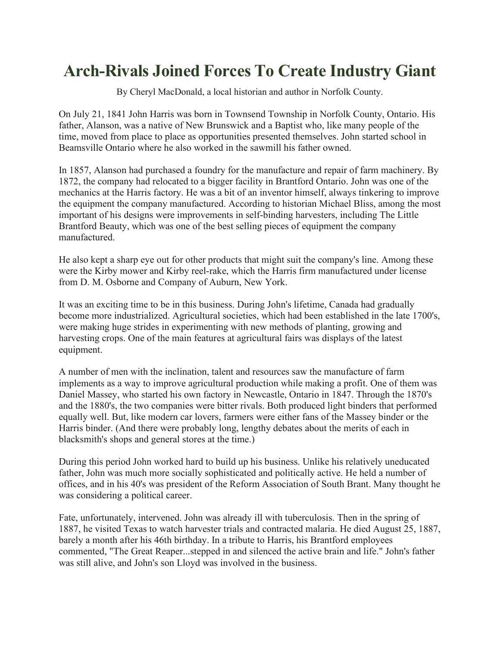## **Arch-Rivals Joined Forces To Create Industry Giant**

By Cheryl MacDonald, a local historian and author in Norfolk County.

On July 21, 1841 John Harris was born in Townsend Township in Norfolk County, Ontario. His father, Alanson, was a native of New Brunswick and a Baptist who, like many people of the time, moved from place to place as opportunities presented themselves. John started school in Beamsville Ontario where he also worked in the sawmill his father owned.

In 1857, Alanson had purchased a foundry for the manufacture and repair of farm machinery. By 1872, the company had relocated to a bigger facility in Brantford Ontario. John was one of the mechanics at the Harris factory. He was a bit of an inventor himself, always tinkering to improve the equipment the company manufactured. According to historian Michael Bliss, among the most important of his designs were improvements in self-binding harvesters, including The Little Brantford Beauty, which was one of the best selling pieces of equipment the company manufactured.

He also kept a sharp eye out for other products that might suit the company's line. Among these were the Kirby mower and Kirby reel-rake, which the Harris firm manufactured under license from D. M. Osborne and Company of Auburn, New York.

It was an exciting time to be in this business. During John's lifetime, Canada had gradually become more industrialized. Agricultural societies, which had been established in the late 1700's, were making huge strides in experimenting with new methods of planting, growing and harvesting crops. One of the main features at agricultural fairs was displays of the latest equipment.

A number of men with the inclination, talent and resources saw the manufacture of farm implements as a way to improve agricultural production while making a profit. One of them was Daniel Massey, who started his own factory in Newcastle, Ontario in 1847. Through the 1870's and the 1880's, the two companies were bitter rivals. Both produced light binders that performed equally well. But, like modern car lovers, farmers were either fans of the Massey binder or the Harris binder. (And there were probably long, lengthy debates about the merits of each in blacksmith's shops and general stores at the time.)

During this period John worked hard to build up his business. Unlike his relatively uneducated father, John was much more socially sophisticated and politically active. He held a number of offices, and in his 40's was president of the Reform Association of South Brant. Many thought he was considering a political career.

Fate, unfortunately, intervened. John was already ill with tuberculosis. Then in the spring of 1887, he visited Texas to watch harvester trials and contracted malaria. He died August 25, 1887, barely a month after his 46th birthday. In a tribute to Harris, his Brantford employees commented, "The Great Reaper...stepped in and silenced the active brain and life." John's father was still alive, and John's son Lloyd was involved in the business.